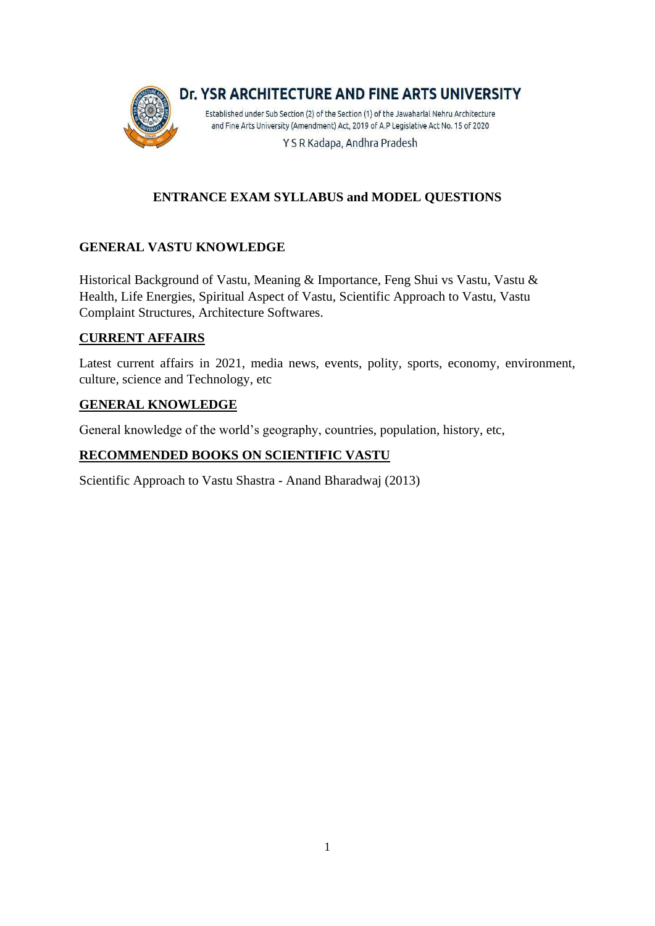

# **ENTRANCE EXAM SYLLABUS and MODEL QUESTIONS**

# **GENERAL VASTU KNOWLEDGE**

Historical Background of Vastu, Meaning & Importance, Feng Shui vs Vastu, Vastu & Health, Life Energies, Spiritual Aspect of Vastu, Scientific Approach to Vastu, Vastu Complaint Structures, Architecture Softwares.

## **CURRENT AFFAIRS**

Latest current affairs in 2021, media news, events, polity, sports, economy, environment, culture, science and Technology, etc

#### **GENERAL KNOWLEDGE**

General knowledge of the world's geography, countries, population, history, etc,

## **RECOMMENDED BOOKS ON SCIENTIFIC VASTU**

Scientific Approach to Vastu Shastra - Anand Bharadwaj (2013)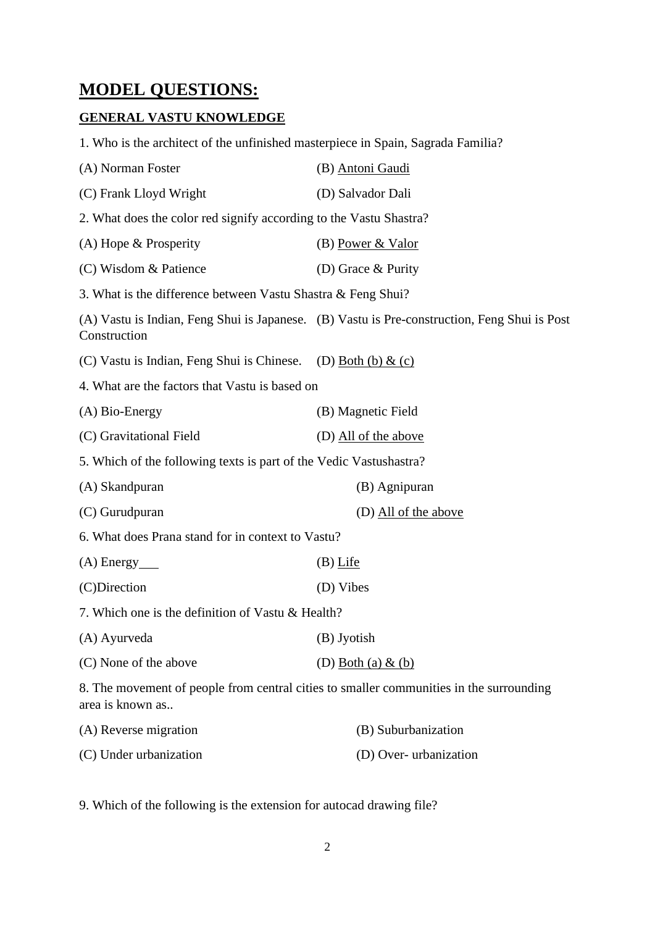# **MODEL QUESTIONS:**

## **GENERAL VASTU KNOWLEDGE**

1. Who is the architect of the unfinished masterpiece in Spain, Sagrada Familia?

| (A) Norman Foster                                                                                           | (B) Antoni Gaudi                                                                             |  |
|-------------------------------------------------------------------------------------------------------------|----------------------------------------------------------------------------------------------|--|
| (C) Frank Lloyd Wright                                                                                      | (D) Salvador Dali                                                                            |  |
| 2. What does the color red signify according to the Vastu Shastra?                                          |                                                                                              |  |
| $(A)$ Hope & Prosperity                                                                                     | (B) Power & Valor                                                                            |  |
| (C) Wisdom & Patience                                                                                       | (D) Grace & Purity                                                                           |  |
| 3. What is the difference between Vastu Shastra & Feng Shui?                                                |                                                                                              |  |
| Construction                                                                                                | (A) Vastu is Indian, Feng Shui is Japanese. (B) Vastu is Pre-construction, Feng Shui is Post |  |
| (C) Vastu is Indian, Feng Shui is Chinese.                                                                  | (D) Both (b) $\&$ (c)                                                                        |  |
| 4. What are the factors that Vastu is based on                                                              |                                                                                              |  |
| $(A)$ Bio-Energy                                                                                            | (B) Magnetic Field                                                                           |  |
| (C) Gravitational Field                                                                                     | (D) All of the above                                                                         |  |
| 5. Which of the following texts is part of the Vedic Vastushastra?                                          |                                                                                              |  |
| (A) Skandpuran                                                                                              | (B) Agnipuran                                                                                |  |
| (C) Gurudpuran                                                                                              | (D) All of the above                                                                         |  |
| 6. What does Prana stand for in context to Vastu?                                                           |                                                                                              |  |
| $(A)$ Energy $\_\_$                                                                                         | $(B)$ Life                                                                                   |  |
| (C)Direction                                                                                                | (D) Vibes                                                                                    |  |
| 7. Which one is the definition of Vastu & Health?                                                           |                                                                                              |  |
| (A) Ayurveda                                                                                                | (B) Jyotish                                                                                  |  |
| (C) None of the above                                                                                       | (D) Both (a) $&$ (b)                                                                         |  |
| 8. The movement of people from central cities to smaller communities in the surrounding<br>area is known as |                                                                                              |  |
| (A) Reverse migration                                                                                       | (B) Suburbanization                                                                          |  |

9. Which of the following is the extension for autocad drawing file?

(C) Under urbanization (D) Over- urbanization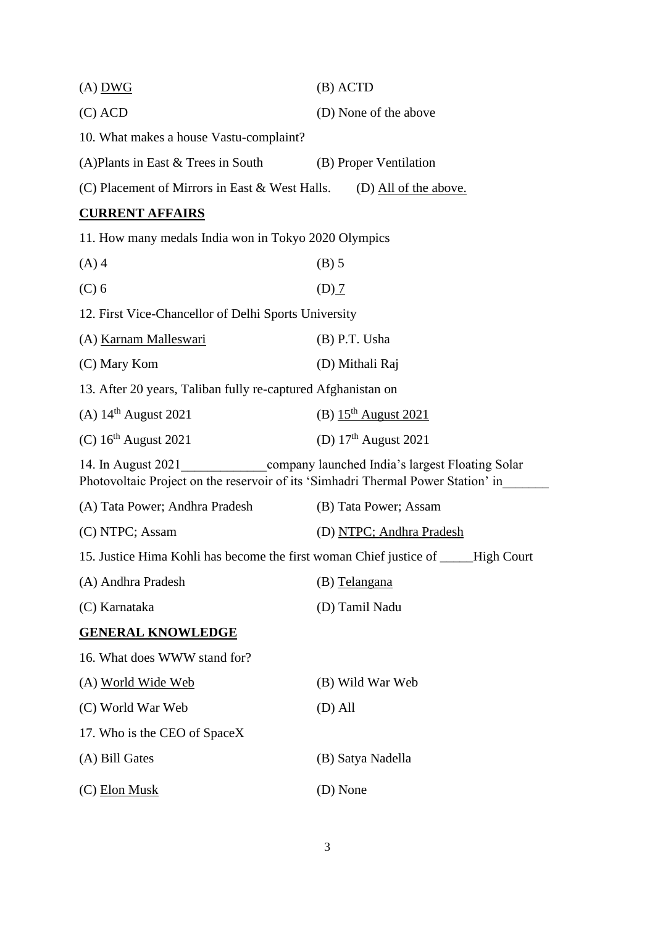| $(A)$ DWG                                                                                                                                                 | $(B)$ ACTD               |  |
|-----------------------------------------------------------------------------------------------------------------------------------------------------------|--------------------------|--|
| $(C)$ ACD                                                                                                                                                 | (D) None of the above    |  |
| 10. What makes a house Vastu-complaint?                                                                                                                   |                          |  |
| (A)Plants in East & Trees in South                                                                                                                        | (B) Proper Ventilation   |  |
| (C) Placement of Mirrors in East & West Halls.                                                                                                            | (D) All of the above.    |  |
| <b>CURRENT AFFAIRS</b>                                                                                                                                    |                          |  |
| 11. How many medals India won in Tokyo 2020 Olympics                                                                                                      |                          |  |
| $(A)$ 4                                                                                                                                                   | $(B)$ 5                  |  |
| $(C)$ 6                                                                                                                                                   | $(D)$ $\overline{1}$     |  |
| 12. First Vice-Chancellor of Delhi Sports University                                                                                                      |                          |  |
| (A) Karnam Malleswari                                                                                                                                     | $(B)$ P.T. Usha          |  |
| (C) Mary Kom                                                                                                                                              | (D) Mithali Raj          |  |
| 13. After 20 years, Taliban fully re-captured Afghanistan on                                                                                              |                          |  |
| (A) $14^{\text{th}}$ August 2021                                                                                                                          | (B) $15th$ August 2021   |  |
| $(C)$ 16 <sup>th</sup> August 2021                                                                                                                        | (D) $17th$ August 2021   |  |
| company launched India's largest Floating Solar<br>14. In August 2021<br>Photovoltaic Project on the reservoir of its 'Simhadri Thermal Power Station' in |                          |  |
| (A) Tata Power; Andhra Pradesh                                                                                                                            | (B) Tata Power; Assam    |  |
| (C) NTPC; Assam                                                                                                                                           | (D) NTPC; Andhra Pradesh |  |
| 15. Justice Hima Kohli has become the first woman Chief justice of _____High Court                                                                        |                          |  |
| (A) Andhra Pradesh                                                                                                                                        | (B) Telangana            |  |
| (C) Karnataka                                                                                                                                             | (D) Tamil Nadu           |  |
| <b>GENERAL KNOWLEDGE</b>                                                                                                                                  |                          |  |
| 16. What does WWW stand for?                                                                                                                              |                          |  |
| (A) World Wide Web                                                                                                                                        | (B) Wild War Web         |  |
| (C) World War Web                                                                                                                                         | $(D)$ All                |  |
| 17. Who is the CEO of SpaceX                                                                                                                              |                          |  |
| (A) Bill Gates                                                                                                                                            | (B) Satya Nadella        |  |
| $(C)$ Elon Musk                                                                                                                                           | (D) None                 |  |